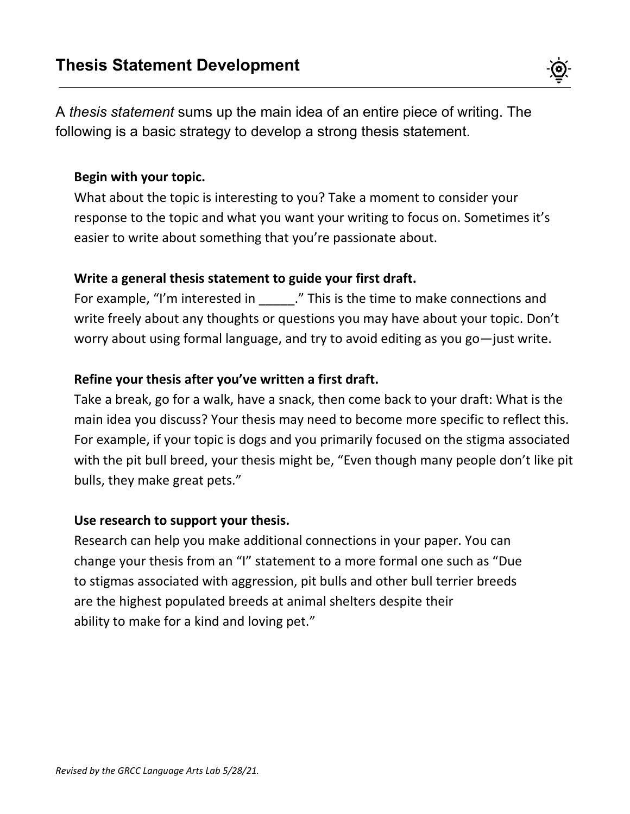A *thesis statement* sums up the main idea of an entire piece of writing. The following is a basic strategy to develop a strong thesis statement.

#### **Begin with your topic.**

What about the topic is interesting to you? Take a moment to consider your response to the topic and what you want your writing to focus on. Sometimes it's easier to write about something that you're passionate about.

#### **Write a general thesis statement to guide your first draft.**

For example, "I'm interested in \_\_\_\_\_." This is the time to make connections and write freely about any thoughts or questions you may have about your topic. Don't worry about using formal language, and try to avoid editing as you go—just write.

## **Refine your thesis after you've written a first draft.**

Take a break, go for a walk, have a snack, then come back to your draft: What is the main idea you discuss? Your thesis may need to become more specific to reflect this. For example, if your topic is dogs and you primarily focused on the stigma associated with the pit bull breed, your thesis might be, "Even though many people don't like pit bulls, they make great pets."

## **Use research to support your thesis.**

Research can help you make additional connections in your paper. You can change your thesis from an "I" statement to a more formal one such as "Due to stigmas associated with aggression, pit bulls and other bull terrier breeds are the highest populated breeds at animal shelters despite their ability to make for a kind and loving pet."